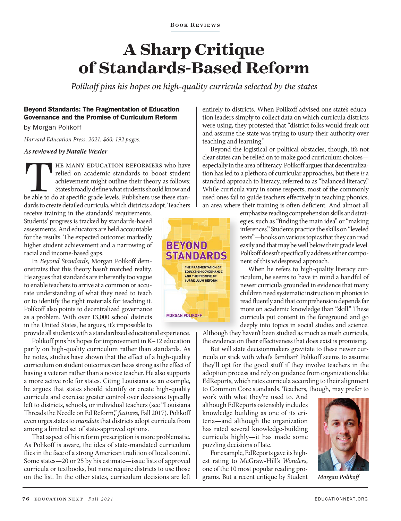**BOOK REVIEWS** 

# **A Sharp Critique of Standards-Based Reform**

*Polikoff pins his hopes on high-quality curricula selected by the states*

#### Beyond Standards: The Fragmentation of Education Governance and the Promise of Curriculum Reform

by Morgan Polikoff

*Harvard Education Press, 2021, \$60; 192 pages.*

*As reviewed by Natalie Wexler* 

THE MANY EDUCATION REFORMERS who have relied on academic standards to boost student achievement might outline their theory as follows: States broadly define what students should know and be able to do at specific grade lev relied on academic standards to boost student achievement might outline their theory as follows: States broadly define what students should know and dards to create detailed curricula, which districts adopt. Teachers

receive training in the standards' requirements. Students' progress is tracked by standards-based assessments. And educators are held accountable for the results. The expected outcome: markedly higher student achievement and a narrowing of racial and income-based gaps.

In *Beyond Standards*, Morgan Polikoff demonstrates that this theory hasn't matched reality. He argues that standards are inherently too vague to enable teachers to arrive at a common or accurate understanding of what they need to teach or to identify the right materials for teaching it. Polikoff also points to decentralized governance as a problem. With over 13,000 school districts in the United States, he argues, it's impossible to

provide all students with a standardized educational experience.

Polikoff pins his hopes for improvement in K–12 education partly on high-quality curriculum rather than standards. As he notes, studies have shown that the effect of a high-quality curriculum on student outcomes can be as strong as the effect of having a veteran rather than a novice teacher. He also supports a more active role for states. Citing Louisiana as an example, he argues that states should identify or create high-quality curricula and exercise greater control over decisions typically left to districts, schools, or individual teachers (see "Louisiana Threads the Needle on Ed Reform," *features,* Fall 2017). Polikoff even urges states to *mandate* that districts adopt curricula from among a limited set of state-approved options.

That aspect of his reform prescription is more problematic. As Polikoff is aware, the idea of state-mandated curriculum flies in the face of a strong American tradition of local control. Some states—20 or 25 by his estimate—issue lists of approved curricula or textbooks, but none require districts to use those on the list. In the other states, curriculum decisions are left



entirely to districts. When Polikoff advised one state's education leaders simply to collect data on which curricula districts were using, they protested that "district folks would freak out and assume the state was trying to usurp their authority over teaching and learning."

Beyond the logistical or political obstacles, though, it's not clear states can be relied on to make good curriculum choices especially in the area of literacy. Polikoff argues that decentralization has led to a plethora of curricular approaches, but there *is* a standard approach to literacy, referred to as "balanced literacy." While curricula vary in some respects, most of the commonly used ones fail to guide teachers effectively in teaching phonics, an area where their training is often deficient. And almost all

> emphasize reading comprehension skills and strategies, such as "finding the main idea" or "making inferences." Students practice the skills on "leveled texts"—books on various topics that they can read easily and that may be well below their grade level. Polikoff doesn't specifically address either component of this widespread approach.

> When he refers to high-quality literacy curriculum, he seems to have in mind a handful of newer curricula grounded in evidence that many children need systematic instruction in phonics to read fluently and that comprehension depends far more on academic knowledge than "skill." These curricula put content in the foreground and go deeply into topics in social studies and science.

Although they haven't been studied as much as math curricula, the evidence on their effectiveness that does exist is promising.

But will state decisionmakers gravitate to these newer curricula or stick with what's familiar? Polikoff seems to assume they'll opt for the good stuff if they involve teachers in the adoption process and rely on guidance from organizations like EdReports, which rates curricula according to their alignment to Common Core standards. Teachers, though, may prefer to

work with what they're used to. And although EdReports ostensibly includes knowledge building as one of its criteria—and although the organization has rated several knowledge-building curricula highly—it has made some puzzling decisions of late.

For example, EdReports gave its highest rating to McGraw-Hill's *Wonders*, one of the 10 most popular reading programs. But a recent critique by Student *Morgan Polikoff*